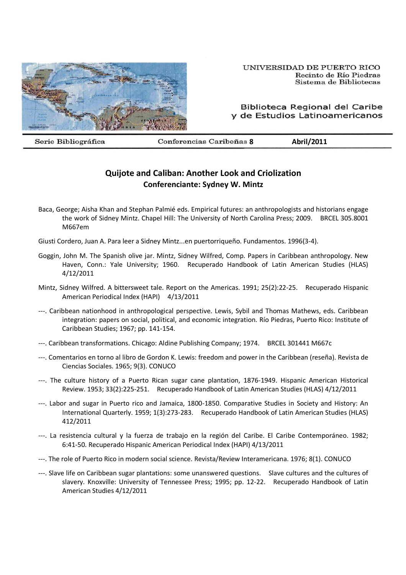

Biblioteca Regional del Caribe y de Estudios Latinoamericanos

Serie Bibliográfica

**8 Abril/2011**

## **Quijote and Caliban: Another Look and Criolization Conferenciante: Sydney W. Mintz**

Baca, George; Aisha Khan and Stephan Palmié eds. Empirical futures: an anthropologists and historians engage the work of Sidney Mintz. Chapel Hill: The University of North Carolina Press; 2009. BRCEL 305.8001 M667em

Giusti Cordero, Juan A. Para leer a Sidney Mintz...en puertorriqueño. Fundamentos. 1996(3-4).

- Goggin, John M. The Spanish olive jar. Mintz, Sidney Wilfred, Comp. Papers in Caribbean anthropology. New Haven, Conn.: Yale University; 1960. Recuperado Handbook of Latin American Studies (HLAS) 4/12/2011
- Mintz, Sidney Wilfred. A bittersweet tale. Report on the Americas. 1991; 25(2):22-25. Recuperado Hispanic American Periodical Index (HAPI) 4/13/2011
- ---. Caribbean nationhood in anthropological perspective. Lewis, Sybil and Thomas Mathews, eds. Caribbean integration: papers on social, political, and economic integration. Río Piedras, Puerto Rico: Institute of Caribbean Studies; 1967; pp. 141-154.
- ---. Caribbean transformations. Chicago: Aldine Publishing Company; 1974. BRCEL 301441 M667c
- ---. Comentarios en torno al libro de Gordon K. Lewis: freedom and power in the Caribbean (reseña). Revista de Ciencias Sociales. 1965; 9(3). CONUCO
- ---. The culture history of a Puerto Rican sugar cane plantation, 1876-1949. Hispanic American Historical Review. 1953; 33(2):225-251. Recuperado Handbook of Latin American Studies (HLAS) 4/12/2011
- ---. Labor and sugar in Puerto rico and Jamaica, 1800-1850. Comparative Studies in Society and History: An International Quarterly. 1959; 1(3):273-283. Recuperado Handbook of Latin American Studies (HLAS) 412/2011
- ---. La resistencia cultural y la fuerza de trabajo en la región del Caribe. El Caribe Contemporáneo. 1982; 6:41-50. Recuperado Hispanic American Periodical Index (HAPI) 4/13/2011
- ---. The role of Puerto Rico in modern social science. Revista/Review Interamericana. 1976; 8(1). CONUCO
- ---. Slave life on Caribbean sugar plantations: some unanswered questions. Slave cultures and the cultures of slavery. Knoxville: University of Tennessee Press; 1995; pp. 12-22. Recuperado Handbook of Latin American Studies 4/12/2011